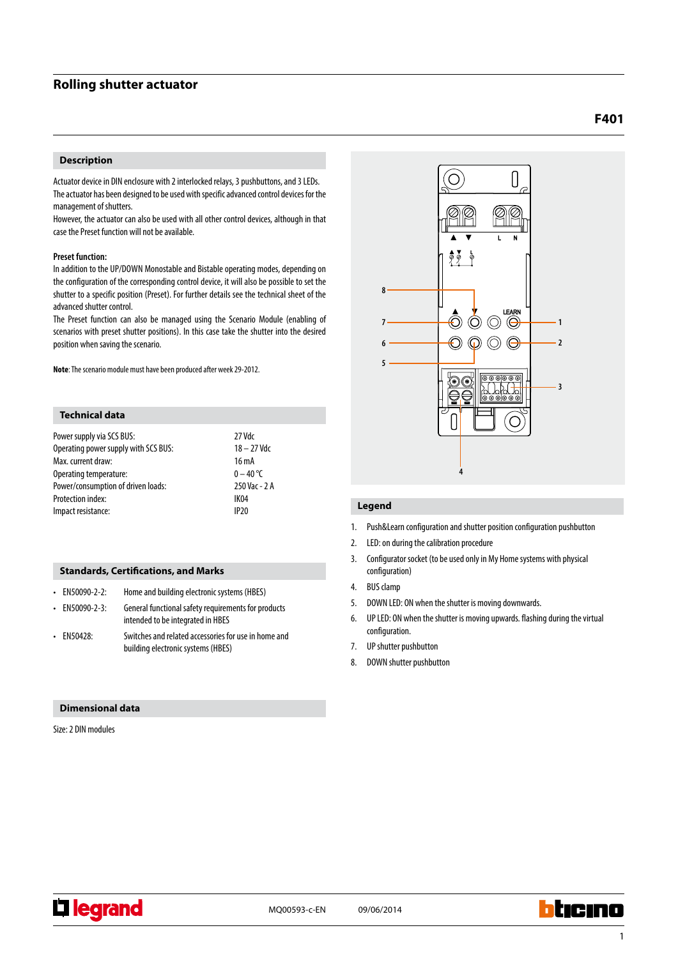# **Rolling shutter actuator**

# **Description**

Actuator device in DIN enclosure with 2 interlocked relays, 3 pushbuttons, and 3 LEDs. The actuator has been designed to be used with specific advanced control devices for the management of shutters.

However, the actuator can also be used with all other control devices, although in that case the Preset function will not be available.

## **Preset function:**

In addition to the UP/DOWN Monostable and Bistable operating modes, depending on the configuration of the corresponding control device, it will also be possible to set the shutter to a specific position (Preset). For further details see the technical sheet of the advanced shutter control.

The Preset function can also be managed using the Scenario Module (enabling of scenarios with preset shutter positions). In this case take the shutter into the desired position when saving the scenario.

**Note**: The scenario module must have been produced after week 29-2012.

# **Technical data**

| Power supply via SCS BUS:            | 27 Vdc          |
|--------------------------------------|-----------------|
| Operating power supply with SCS BUS: | $18 - 27$ Vdc   |
| Max. current draw:                   | $16 \text{ mA}$ |
| Operating temperature:               | $0 - 40$ °C     |
| Power/consumption of driven loads:   | 250 Vac - 2 A   |
| <b>Protection index:</b>             | IK04            |
| Impact resistance:                   | IP20            |

# **Standards, Certifications, and Marks**

| $\cdot$ EN50090-2-2: | Home and building electronic systems (HBES)                                                |
|----------------------|--------------------------------------------------------------------------------------------|
| $\cdot$ EN50090-2-3: | General functional safety requirements for products<br>intended to be integrated in HBES   |
| $\cdot$ EN50428:     | Switches and related accessories for use in home and<br>building electronic systems (HBES) |

### **Dimensional data**

Size: 2 DIN modules



# **Legend**

- 1. Push&Learn configuration and shutter position configuration pushbutton
- 2. LED: on during the calibration procedure
- 3. Configurator socket (to be used only in My Home systems with physical configuration)
- 4. BUS clamp
- 5. DOWN LED: ON when the shutter is moving downwards.
- 6. UP LED: ON when the shutter is moving upwards. flashing during the virtual configuration.
- 7. UP shutter pushbutton
- 8. DOWN shutter pushbutton



**Li legrand** 

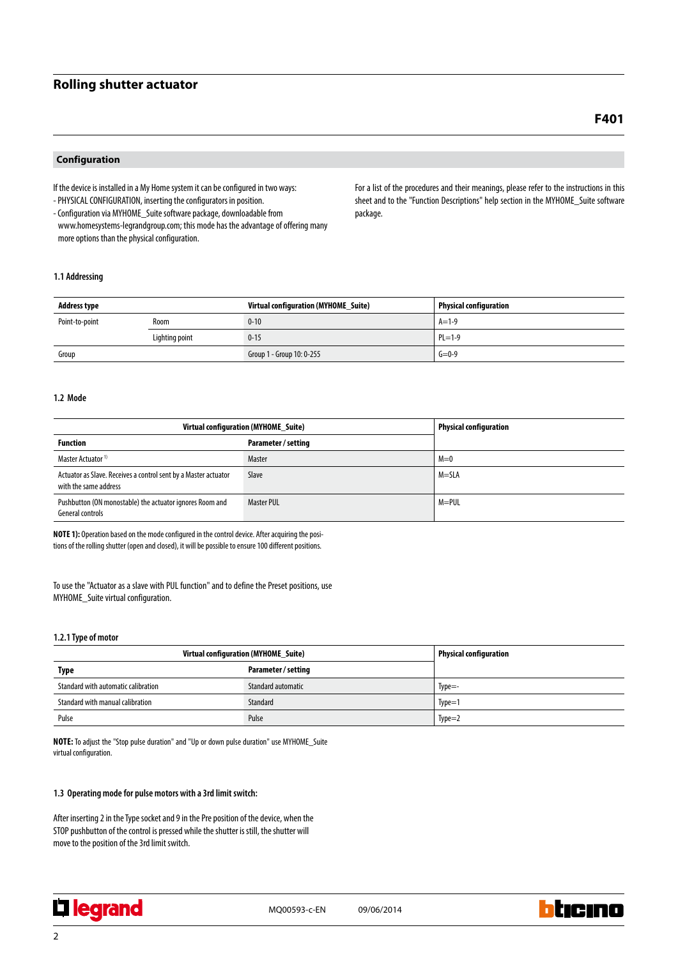# **Rolling shutter actuator**

# **Configuration**

If the device is installed in a My Home system it can be configured in two ways: - PHYSICAL CONFIGURATION, inserting the configurators in position.

- Configuration via MYHOME\_Suite software package, downloadable from www.homesystems-legrandgroup.com; this mode has the advantage of offering many more options than the physical configuration.

For a list of the procedures and their meanings, please refer to the instructions in this sheet and to the "Function Descriptions" help section in the MYHOME\_Suite software package.

## **1.1 Addressing**

| <b>Address type</b> |                | Virtual configuration (MYHOME Suite) | <b>Physical configuration</b> |
|---------------------|----------------|--------------------------------------|-------------------------------|
| Point-to-point      | Room           | $0 - 10$                             | $A=1-9$                       |
|                     | Lighting point | $0 - 15$                             | $PL = 1-9$                    |
| Group               |                | Group 1 - Group 10: 0-255            | $G = 0-9$                     |

#### **1.2 Mode**

| Virtual configuration (MYHOME Suite)                                                     |                     | <b>Physical configuration</b> |
|------------------------------------------------------------------------------------------|---------------------|-------------------------------|
| <b>Function</b>                                                                          | Parameter / setting |                               |
| Master Actuator <sup>1)</sup>                                                            | Master              | $M=0$                         |
| Actuator as Slave. Receives a control sent by a Master actuator<br>with the same address | Slave               | M=SLA                         |
| Pushbutton (ON monostable) the actuator ignores Room and<br>General controls             | <b>Master PUL</b>   | $M = PUL$                     |

**NOTE 1):** Operation based on the mode configured in the control device. After acquiring the positions of the rolling shutter (open and closed), it will be possible to ensure 100 different positions.

To use the "Actuator as a slave with PUL function" and to define the Preset positions, use MYHOME\_Suite virtual configuration.

### **1.2.1 Type of motor**

| Virtual configuration (MYHOME_Suite) |                     | <b>Physical configuration</b> |
|--------------------------------------|---------------------|-------------------------------|
| Type                                 | Parameter / setting |                               |
| Standard with automatic calibration  | Standard automatic  | $Type=-$                      |
| Standard with manual calibration     | Standard            | $Type=1$                      |
| Pulse                                | Pulse               | $Type=2$                      |

**Note:** To adjust the "Stop pulse duration" and "Up or down pulse duration" use MYHOME\_Suite virtual configuration.

# **1.3 Operating mode for pulse motors with a 3rd limit switch:**

After inserting 2 in the Type socket and 9 in the Pre position of the device, when the STOP pushbutton of the control is pressed while the shutter is still, the shutter will move to the position of the 3rd limit switch.